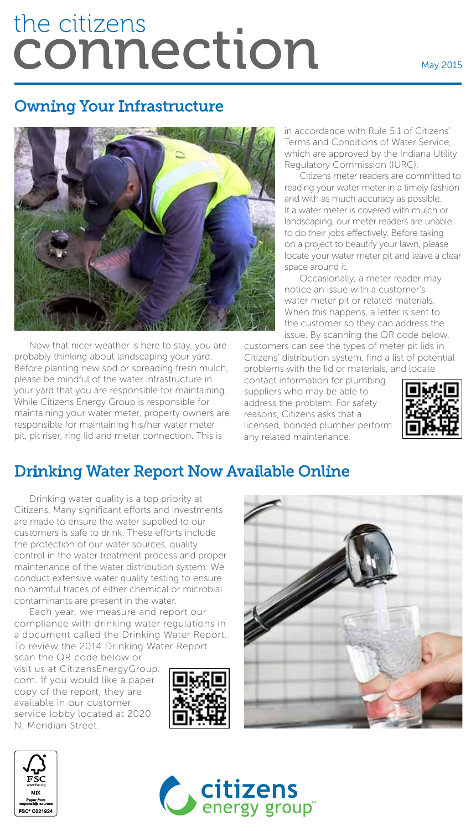# the citizens connection

#### May 2015

#### Owning Your Infrastructure



Now that nicer weather is here to stay, you are probably thinking about landscaping your yard. Before planting new sod or spreading fresh mulch, please be mindful of the water infrastructure in your yard that you are responsible for maintaining. While Citizens Energy Group is responsible for maintaining your water meter, property owners are responsible for maintaining his/her water meter pit, pit riser, ring lid and meter connection. This is

in accordance with Rule 5.1 of Citizens' Terms and Conditions of Water Service, which are approved by the Indiana Utility Regulatory Commission (IURC).

Citizens meter readers are committed to reading your water meter in a timely fashion and with as much accuracy as possible. If a water meter is covered with mulch or landscaping, our meter readers are unable to do their jobs effectively. Before taking on a project to beautify your lawn, please locate your water meter pit and leave a clear space around it.

Occasionally, a meter reader may notice an issue with a customer's water meter pit or related materials. When this happens, a letter is sent to the customer so they can address the issue. By scanning the QR code below,

customers can see the types of meter pit lids in Citizens' distribution system, find a list of potential problems with the lid or materials, and locate

contact information for plumbing suppliers who may be able to address the problem. For safety reasons, Citizens asks that a licensed, bonded plumber perform any related maintenance.



## Drinking Water Report Now Available Online

Drinking water quality is a top priority at Citizens. Many significant efforts and investments are made to ensure the water supplied to our customers is safe to drink. These efforts include the protection of our water sources, quality control in the water treatment process and proper maintenance of the water distribution system. We conduct extensive water quality testing to ensure no harmful traces of either chemical or microbial contaminants are present in the water.

Each year, we measure and report our compliance with drinking water regulations in a document called the Drinking Water Report. To review the 2014 Drinking Water Report

scan the QR code below or visit us at CitizensEnergyGroup. com. If you would like a paper copy of the report, they are available in our customer service lobby located at 2020 N. Meridian Street.